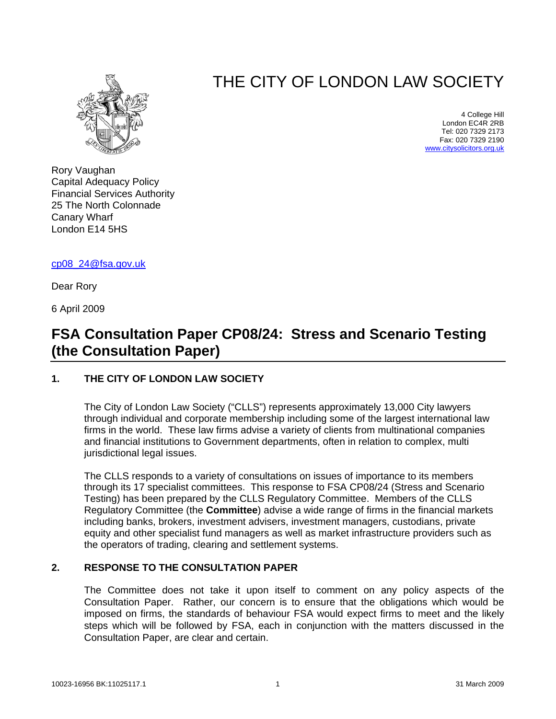

# THE CITY OF LONDON LAW SOCIETY

4 College Hill London EC4R 2RB Tel: 020 7329 2173 Fax: 020 7329 2190 [www.citysolicitors.org.uk](http://www.citysolicitors.org.uk/)

Rory Vaughan Capital Adequacy Policy Financial Services Authority 25 The North Colonnade Canary Wharf London E14 5HS

[cp08\\_24@fsa.gov.uk](mailto:cp08_24@fsa.gov.uk)

Dear Rory

6 April 2009

## **FSA Consultation Paper CP08/24: Stress and Scenario Testing (the Consultation Paper)**

### **1. THE CITY OF LONDON LAW SOCIETY**

The City of London Law Society ("CLLS") represents approximately 13,000 City lawyers through individual and corporate membership including some of the largest international law firms in the world. These law firms advise a variety of clients from multinational companies and financial institutions to Government departments, often in relation to complex, multi jurisdictional legal issues.

The CLLS responds to a variety of consultations on issues of importance to its members through its 17 specialist committees. This response to FSA CP08/24 (Stress and Scenario Testing) has been prepared by the CLLS Regulatory Committee. Members of the CLLS Regulatory Committee (the **Committee**) advise a wide range of firms in the financial markets including banks, brokers, investment advisers, investment managers, custodians, private equity and other specialist fund managers as well as market infrastructure providers such as the operators of trading, clearing and settlement systems.

#### **2. RESPONSE TO THE CONSULTATION PAPER**

The Committee does not take it upon itself to comment on any policy aspects of the Consultation Paper. Rather, our concern is to ensure that the obligations which would be imposed on firms, the standards of behaviour FSA would expect firms to meet and the likely steps which will be followed by FSA, each in conjunction with the matters discussed in the Consultation Paper, are clear and certain.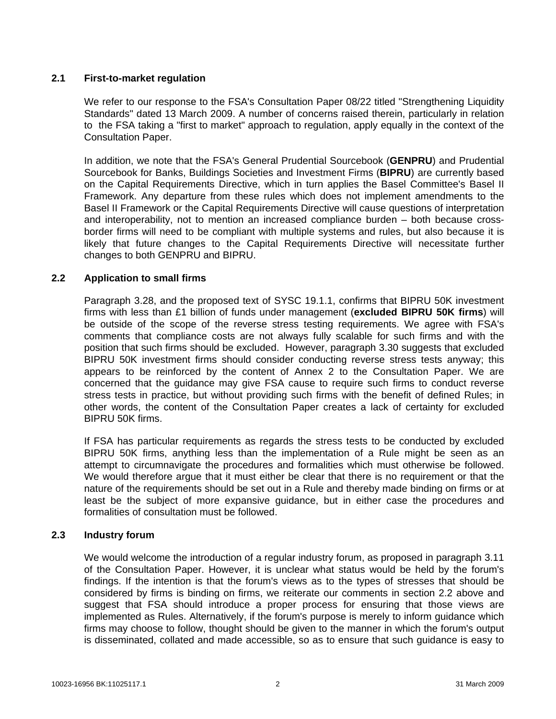#### **2.1 First-to-market regulation**

We refer to our response to the FSA's Consultation Paper 08/22 titled "Strengthening Liquidity" Standards" dated 13 March 2009. A number of concerns raised therein, particularly in relation to the FSA taking a "first to market" approach to regulation, apply equally in the context of the Consultation Paper.

In addition, we note that the FSA's General Prudential Sourcebook (**GENPRU**) and Prudential Sourcebook for Banks, Buildings Societies and Investment Firms (**BIPRU**) are currently based on the Capital Requirements Directive, which in turn applies the Basel Committee's Basel II Framework. Any departure from these rules which does not implement amendments to the Basel II Framework or the Capital Requirements Directive will cause questions of interpretation and interoperability, not to mention an increased compliance burden – both because crossborder firms will need to be compliant with multiple systems and rules, but also because it is likely that future changes to the Capital Requirements Directive will necessitate further changes to both GENPRU and BIPRU.

#### **2.2 Application to small firms**

Paragraph 3.28, and the proposed text of SYSC 19.1.1, confirms that BIPRU 50K investment firms with less than £1 billion of funds under management (**excluded BIPRU 50K firms**) will be outside of the scope of the reverse stress testing requirements. We agree with FSA's comments that compliance costs are not always fully scalable for such firms and with the position that such firms should be excluded. However, paragraph 3.30 suggests that excluded BIPRU 50K investment firms should consider conducting reverse stress tests anyway; this appears to be reinforced by the content of Annex 2 to the Consultation Paper. We are concerned that the guidance may give FSA cause to require such firms to conduct reverse stress tests in practice, but without providing such firms with the benefit of defined Rules; in other words, the content of the Consultation Paper creates a lack of certainty for excluded BIPRU 50K firms.

If FSA has particular requirements as regards the stress tests to be conducted by excluded BIPRU 50K firms, anything less than the implementation of a Rule might be seen as an attempt to circumnavigate the procedures and formalities which must otherwise be followed. We would therefore argue that it must either be clear that there is no requirement or that the nature of the requirements should be set out in a Rule and thereby made binding on firms or at least be the subject of more expansive guidance, but in either case the procedures and formalities of consultation must be followed.

#### **2.3 Industry forum**

We would welcome the introduction of a regular industry forum, as proposed in paragraph 3.11 of the Consultation Paper. However, it is unclear what status would be held by the forum's findings. If the intention is that the forum's views as to the types of stresses that should be considered by firms is binding on firms, we reiterate our comments in section 2.2 above and suggest that FSA should introduce a proper process for ensuring that those views are implemented as Rules. Alternatively, if the forum's purpose is merely to inform guidance which firms may choose to follow, thought should be given to the manner in which the forum's output is disseminated, collated and made accessible, so as to ensure that such guidance is easy to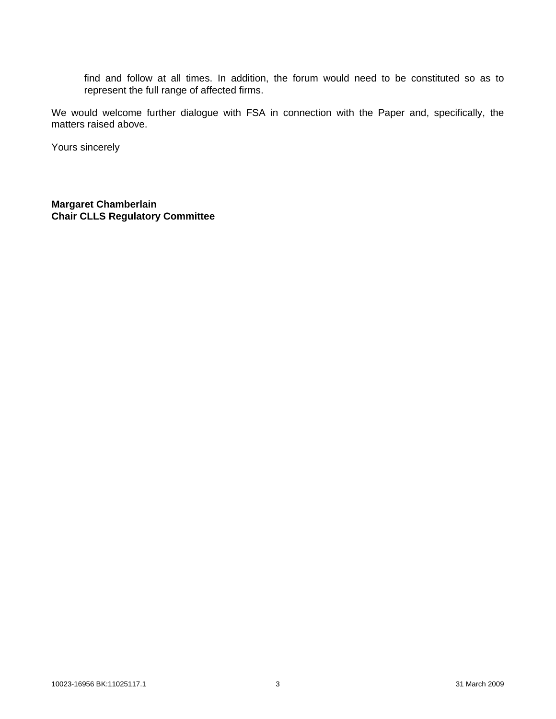find and follow at all times. In addition, the forum would need to be constituted so as to represent the full range of affected firms.

We would welcome further dialogue with FSA in connection with the Paper and, specifically, the matters raised above.

Yours sincerely

**Margaret Chamberlain Chair CLLS Regulatory Committee**